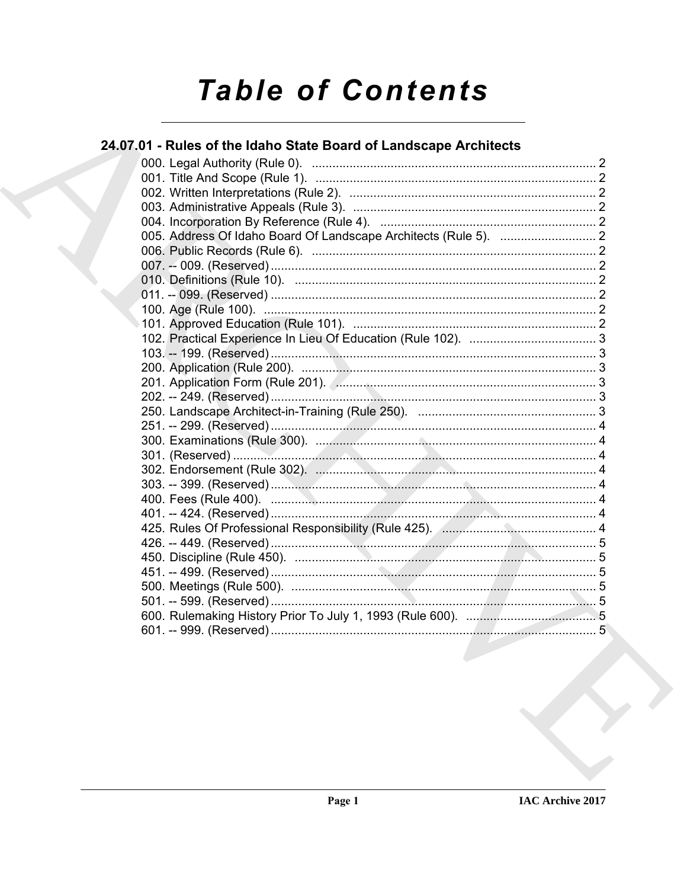# **Table of Contents**

### 24.07.01 - Rules of the Idaho State Board of Landscape Architects

| 425. Rules Of Professional Responsibility (Rule 425). Annuman Matteuter Allen, 4 |  |
|----------------------------------------------------------------------------------|--|
|                                                                                  |  |
|                                                                                  |  |
|                                                                                  |  |
|                                                                                  |  |
|                                                                                  |  |
|                                                                                  |  |
|                                                                                  |  |
|                                                                                  |  |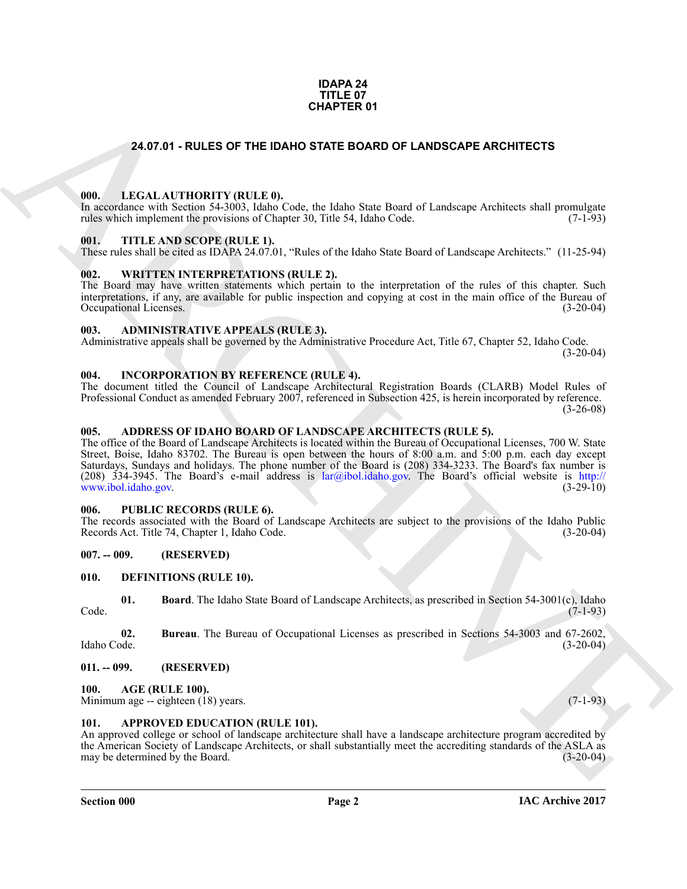### **IDAPA 24 TITLE 07 CHAPTER 01**

### <span id="page-1-0"></span>**24.07.01 - RULES OF THE IDAHO STATE BOARD OF LANDSCAPE ARCHITECTS**

### <span id="page-1-1"></span>**000. LEGAL AUTHORITY (RULE 0).**

In accordance with Section 54-3003, Idaho Code, the Idaho State Board of Landscape Architects shall promulgate rules which implement the provisions of Chapter 30, Title 54, Idaho Code. (7-1-93) rules which implement the provisions of Chapter 30, Title 54, Idaho Code.

### <span id="page-1-2"></span>**001. TITLE AND SCOPE (RULE 1).**

These rules shall be cited as IDAPA 24.07.01, "Rules of the Idaho State Board of Landscape Architects." (11-25-94)

### <span id="page-1-3"></span>**002. WRITTEN INTERPRETATIONS (RULE 2).**

The Board may have written statements which pertain to the interpretation of the rules of this chapter. Such interpretations, if any, are available for public inspection and copying at cost in the main office of the Bureau of Occupational Licenses. (3-20-04) Occupational Licenses.

### <span id="page-1-4"></span>**003. ADMINISTRATIVE APPEALS (RULE 3).**

Administrative appeals shall be governed by the Administrative Procedure Act, Title 67, Chapter 52, Idaho Code. (3-20-04)

### <span id="page-1-5"></span>**004. INCORPORATION BY REFERENCE (RULE 4).**

The document titled the Council of Landscape Architectural Registration Boards (CLARB) Model Rules of Professional Conduct as amended February 2007, referenced in Subsection 425, is herein incorporated by reference. (3-26-08)

### <span id="page-1-6"></span>**005. ADDRESS OF IDAHO BOARD OF LANDSCAPE ARCHITECTS (RULE 5).**

**24.07.01 - RULES OF THE IDANO STATE BOARD OF LANDSCAPE ARC[HI](mailto:lar@ibol.idaho.gov)TECTS<br>
1991 - LEGAL ALTITORITY (RULES)<br>
1993 - LEGAL ALTITORITY (RULES)<br>
1993 - LEGAL ALTITORITY (RULES)<br>
1993 - LEGAL ALTITORITY (RULES)<br>
1993 - LEGAL ALTITORI** The office of the Board of Landscape Architects is located within the Bureau of Occupational Licenses, 700 W. State Street, Boise, Idaho 83702. The Bureau is open between the hours of 8:00 a.m. and 5:00 p.m. each day except Saturdays, Sundays and holidays. The phone number of the Board is (208) 334-3233. The Board's fax number is (208)  $334-3945$ . The Board's e-mail address is lar@ibol.idaho.gov. The Board's official website is http:// www.ibol.idaho.gov. (3-29-10)

### <span id="page-1-7"></span>**006. PUBLIC RECORDS (RULE 6).**

The records associated with the Board of Landscape Architects are subject to the provisions of the Idaho Public Records Act. Title 74, Chapter 1, Idaho Code. (3-20-04)

### <span id="page-1-8"></span>**007. -- 009. (RESERVED)**

### <span id="page-1-15"></span><span id="page-1-9"></span>**010. DEFINITIONS (RULE 10).**

<span id="page-1-16"></span>**01. Board**. The Idaho State Board of Landscape Architects, as prescribed in Section 54-3001(c), Idaho (7-1-93) Code. (7-1-93)

<span id="page-1-17"></span>**02.** Bureau. The Bureau of Occupational Licenses as prescribed in Sections 54-3003 and 67-2602, Idaho Code. (3-20-04) Idaho Code. (3-20-04)

### <span id="page-1-10"></span>**011. -- 099. (RESERVED)**

### <span id="page-1-13"></span><span id="page-1-11"></span>**100. AGE (RULE 100).**

Minimum age -- eighteen (18) years. (7-1-93)

### <span id="page-1-14"></span><span id="page-1-12"></span>**101. APPROVED EDUCATION (RULE 101).**

An approved college or school of landscape architecture shall have a landscape architecture program accredited by the American Society of Landscape Architects, or shall substantially meet the accrediting standards of the ASLA as may be determined by the Board. (3-20-04) may be determined by the Board.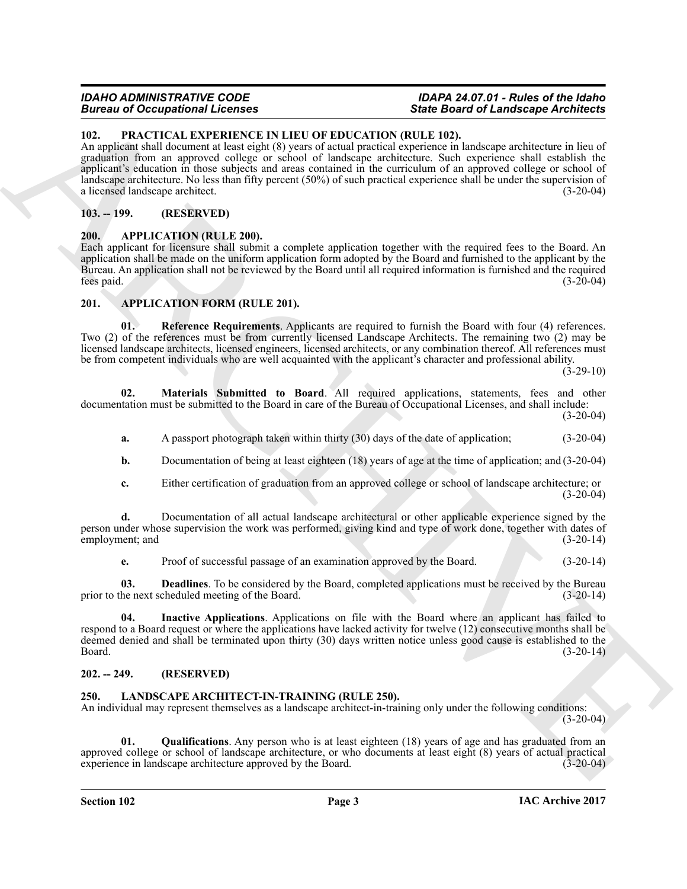### *IDAHO ADMINISTRATIVE CODE IDAPA 24.07.01 - Rules of the Idaho* **State Board of Landscape Architects**

### <span id="page-2-14"></span><span id="page-2-0"></span>**102. PRACTICAL EXPERIENCE IN LIEU OF EDUCATION (RULE 102).**

**EXACTE CALCULATES AND ARCHIVES (SEE 2019) CONSUMERATION (III, LE 103)**<br>
HER **CALCULATES AND CONSUMERATION (III, LE 103)**<br>
ARCHIVES AND ARCHIVES CRIMINAL PRODUCTION (III, LE 103)<br>
ARCHIVES AND ARCHIVES CRIMINAL PRODUCTI An applicant shall document at least eight (8) years of actual practical experience in landscape architecture in lieu of graduation from an approved college or school of landscape architecture. Such experience shall establish the applicant's education in those subjects and areas contained in the curriculum of an approved college or school of landscape architecture. No less than fifty percent (50%) of such practical experience shall be under the supervision of a licensed landscape architect. (3-20-04) a licensed landscape architect.

### <span id="page-2-1"></span>**103. -- 199. (RESERVED)**

### <span id="page-2-6"></span><span id="page-2-2"></span>**200. APPLICATION (RULE 200).**

Each applicant for licensure shall submit a complete application together with the required fees to the Board. An application shall be made on the uniform application form adopted by the Board and furnished to the applicant by the Bureau. An application shall not be reviewed by the Board until all required information is furnished and the required fees paid. (3-20-04)

### <span id="page-2-7"></span><span id="page-2-3"></span>**201. APPLICATION FORM (RULE 201).**

<span id="page-2-11"></span>**01. Reference Requirements**. Applicants are required to furnish the Board with four (4) references. Two (2) of the references must be from currently licensed Landscape Architects. The remaining two (2) may be licensed landscape architects, licensed engineers, licensed architects, or any combination thereof. All references must be from competent individuals who are well acquainted with the applicant's character and professional ability.

 $(3-29-10)$ 

**02. Materials Submitted to Board**. All required applications, statements, fees and other documentation must be submitted to the Board in care of the Bureau of Occupational Licenses, and shall include: (3-20-04)

<span id="page-2-10"></span>**a.** A passport photograph taken within thirty (30) days of the date of application; (3-20-04)

**b.** Documentation of being at least eighteen (18) years of age at the time of application; and (3-20-04)

**c.** Either certification of graduation from an approved college or school of landscape architecture; or  $(3-20-04)$ 

**d.** Documentation of all actual landscape architectural or other applicable experience signed by the person under whose supervision the work was performed, giving kind and type of work done, together with dates of employment: and (3-20-14) employment; and

<span id="page-2-9"></span><span id="page-2-8"></span>**e.** Proof of successful passage of an examination approved by the Board. (3-20-14)

**03. Deadlines**. To be considered by the Board, completed applications must be received by the Bureau he next scheduled meeting of the Board. prior to the next scheduled meeting of the Board.

**04. Inactive Applications**. Applications on file with the Board where an applicant has failed to respond to a Board request or where the applications have lacked activity for twelve (12) consecutive months shall be deemed denied and shall be terminated upon thirty (30) days written notice unless good cause is established to the Board. (3-20-14)  $\beta$ Board. (3-20-14)

### <span id="page-2-4"></span>**202. -- 249. (RESERVED)**

### <span id="page-2-12"></span><span id="page-2-5"></span>**250. LANDSCAPE ARCHITECT-IN-TRAINING (RULE 250).**

An individual may represent themselves as a landscape architect-in-training only under the following conditions:  $(3-20-04)$ 

<span id="page-2-13"></span>**01. Qualifications**. Any person who is at least eighteen (18) years of age and has graduated from an approved college or school of landscape architecture, or who documents at least eight (8) years of actual practical experience in landscape architecture approved by the Board. (3-20-04) experience in landscape architecture approved by the Board.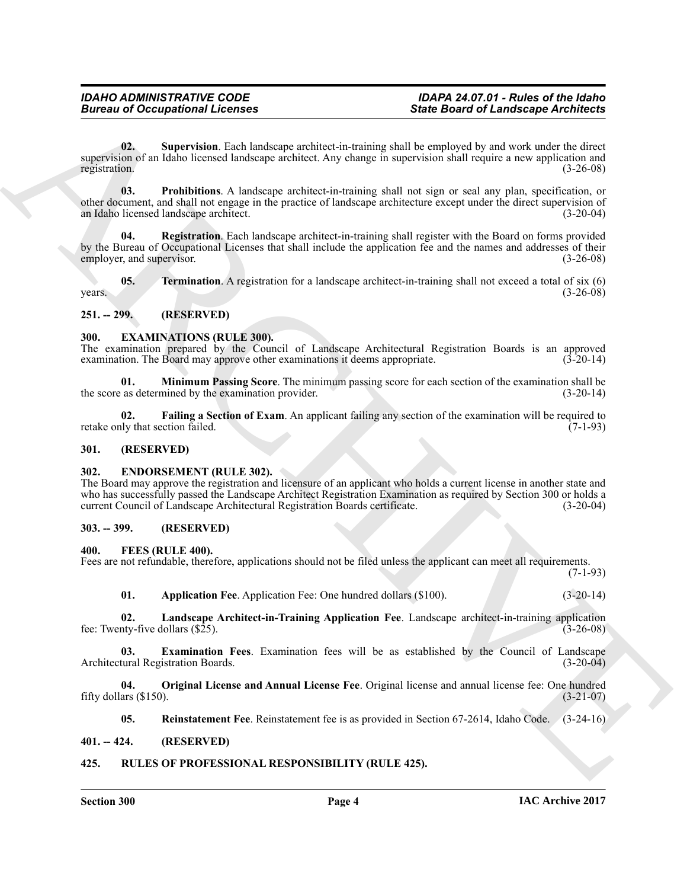## <span id="page-3-20"></span>**Bureau of Occupational Licenses**

**Since of Occupational Licenses**<br> **Since Based of Landscape achieves them** and the projection of Landscape achieves the composite of the state<br>
interval method between the landscape achieves the present of the transportat **02. Supervision**. Each landscape architect-in-training shall be employed by and work under the direct supervision of an Idaho licensed landscape architect. Any change in supervision shall require a new application and registration. (3-26-08) registration. (3-26-08)

<span id="page-3-18"></span>**03. Prohibitions**. A landscape architect-in-training shall not sign or seal any plan, specification, or other document, and shall not engage in the practice of landscape architecture except under the direct supervision of an Idaho licensed landscape architect. an Idaho licensed landscape architect.

<span id="page-3-19"></span>**Registration**. Each landscape architect-in-training shall register with the Board on forms provided by the Bureau of Occupational Licenses that shall include the application fee and the names and addresses of their employer, and supervisor. (3-26-08) employer, and supervisor.

<span id="page-3-21"></span>**05. Termination**. A registration for a landscape architect-in-training shall not exceed a total of six (6)  $years.$  (3-26-08)

### <span id="page-3-0"></span>**251. -- 299. (RESERVED)**

### <span id="page-3-9"></span><span id="page-3-1"></span>**300. EXAMINATIONS (RULE 300).**

The examination prepared by the Council of Landscape Architectural Registration Boards is an approved examination. The Board may approve other examinations it deems appropriate.  $(3-20-14)$ examination. The Board may approve other examinations it deems appropriate.

<span id="page-3-11"></span>**01. Minimum Passing Score**. The minimum passing score for each section of the examination shall be as determined by the examination provider. (3-20-14) the score as determined by the examination provider.

<span id="page-3-10"></span>**02. Failing a Section of Exam**. An applicant failing any section of the examination will be required to (7-1-93) retake only that section failed.

### <span id="page-3-2"></span>**301. (RESERVED)**

### <span id="page-3-8"></span><span id="page-3-3"></span>**302. ENDORSEMENT (RULE 302).**

The Board may approve the registration and licensure of an applicant who holds a current license in another state and who has successfully passed the Landscape Architect Registration Examination as required by Section 300 or holds a current Council of Landscape Architectural Registration Boards certificate. (3-20-04)

### <span id="page-3-4"></span>**303. -- 399. (RESERVED)**

### <span id="page-3-12"></span><span id="page-3-5"></span>**400. FEES (RULE 400).**

Fees are not refundable, therefore, applications should not be filed unless the applicant can meet all requirements. (7-1-93)

<span id="page-3-15"></span><span id="page-3-14"></span><span id="page-3-13"></span>**01. Application Fee**. Application Fee: One hundred dollars (\$100). (3-20-14)

**02. Landscape Architect-in-Training Application Fee**. Landscape architect-in-training application fee: Twenty-five dollars  $(\$25)$ .

**03. Examination Fees**. Examination fees will be as established by the Council of Landscape Architectural Registration Boards. (3-20-04)

**04. Original License and Annual License Fee**. Original license and annual license fee: One hundred fifty dollars  $(\$150)$ .

<span id="page-3-22"></span><span id="page-3-17"></span><span id="page-3-16"></span>**05. Reinstatement Fee**. Reinstatement fee is as provided in Section 67-2614, Idaho Code. (3-24-16)

### <span id="page-3-6"></span>**401. -- 424. (RESERVED)**

### <span id="page-3-7"></span>**425. RULES OF PROFESSIONAL RESPONSIBILITY (RULE 425).**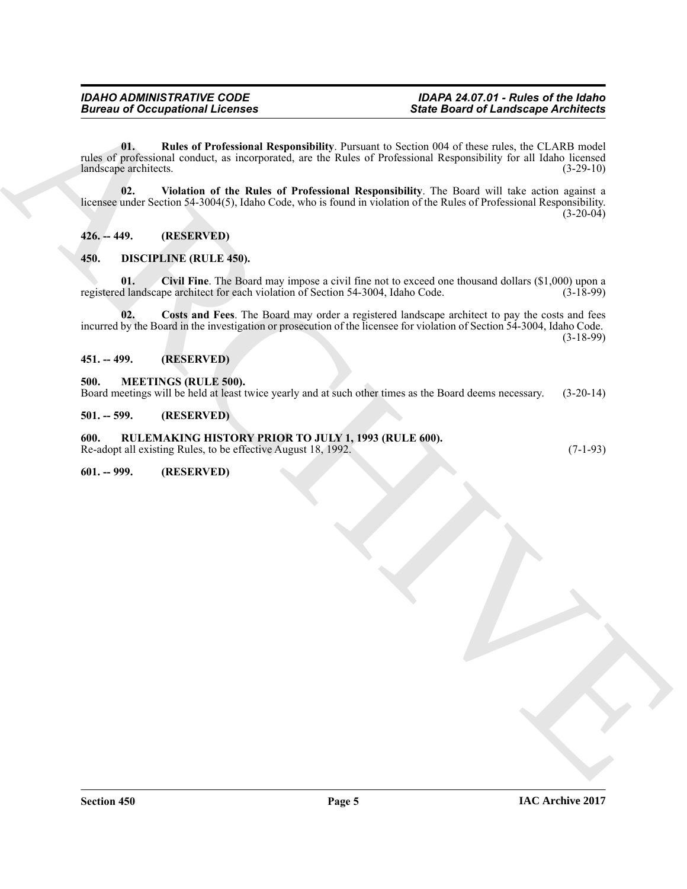**Since to a Conceptional Licenses**<br>
Since Board of Landscape Architects<br>
This properties and concept is trend properties at the Value of Variation Responsibility for all CLADS and/or<br>
Indicate the Section Scheme of the Ma **01. Rules of Professional Responsibility**. Pursuant to Section 004 of these rules, the CLARB model rules of professional conduct, as incorporated, are the Rules of Professional Responsibility for all Idaho licensed<br>(3-29-10) (3-29-10) landscape architects.

<span id="page-4-12"></span><span id="page-4-11"></span>**02. Violation of the Rules of Professional Responsibility**. The Board will take action against a licensee under Section 54-3004(5), Idaho Code, who is found in violation of the Rules of Professional Responsibility.  $(3-20-04)$ 

<span id="page-4-0"></span>**426. -- 449. (RESERVED)**

### <span id="page-4-7"></span><span id="page-4-1"></span>**450. DISCIPLINE (RULE 450).**

<span id="page-4-8"></span>**01.** Civil Fine. The Board may impose a civil fine not to exceed one thousand dollars (\$1,000) upon a d landscape architect for each violation of Section 54-3004. Idaho Code. (3-18-99) registered landscape architect for each violation of Section 54-3004, Idaho Code.

<span id="page-4-9"></span>**02. Costs and Fees**. The Board may order a registered landscape architect to pay the costs and fees incurred by the Board in the investigation or prosecution of the licensee for violation of Section 54-3004, Idaho Code. (3-18-99)

<span id="page-4-2"></span>**451. -- 499. (RESERVED)**

### <span id="page-4-10"></span><span id="page-4-3"></span>**500. MEETINGS (RULE 500).**

Board meetings will be held at least twice yearly and at such other times as the Board deems necessary. (3-20-14)

<span id="page-4-4"></span>**501. -- 599. (RESERVED)**

### <span id="page-4-5"></span>**600. RULEMAKING HISTORY PRIOR TO JULY 1, 1993 (RULE 600).**

Re-adopt all existing Rules, to be effective August 18, 1992. (7-1-93)

<span id="page-4-6"></span>**601. -- 999. (RESERVED)**